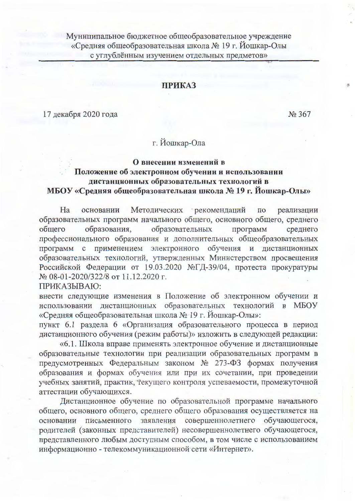Муниципальное бюджетное общеобразовательное учреждение «Средняя общеобразовательная школа № 19 г. Йошкар-Олы с углублённым изучением отдельных предметов»

## **ПРИКАЗ**

17 декабря 2020 года

No 367

## г. Йошкар-Ола

## О внесении изменений в Положение об электронном обучении и использовании дистанционных образовательных технологий в МБОУ «Средняя общеобразовательная школа № 19 г. Йошкар-Олы»

основании Методических рекомендаций по реализации Ha образовательных программ начального общего, основного общего, среднего образовательных обшего образования, программ среднего профессионального образования и дополнительных общеобразовательных программ с применением электронного обучения и дистанционных образовательных технологий, утвержденных Министерством просвещения Российской Федерации от 19.03.2020 №ГД-39/04, протеста прокуратуры № 08-01-2020/322/8 от 11.12.2020 г.

ПРИКАЗЫВАЮ:

внести следующие изменения в Положение об электронном обучении и использовании дистанционных образовательных технологий в МБОУ «Средняя общеобразовательная школа № 19 г. Йошкар-Олы»:

пункт 6.1 раздела 6 «Организация образовательного процесса в период дистанционного обучения (режим работы)» изложить в следующей редакции:

«6.1. Школа вправе применять электронное обучение и дистанционные образовательные технологии при реализации образовательных программ в предусмотренных Федеральным законом № 273-ФЗ формах получения образования и формах обучения или при их сочетании, при проведении учебных занятий, практик, текущего контроля успеваемости, промежуточной аттестации обучающихся.

Дистанционное обучение по образовательной программе начального общего, основного общего, среднего общего образования осуществляется на основании письменного заявления совершеннолетнего обучающегося, родителей (законных представителей) несовершеннолетнего обучающегося, представленного любым доступным способом, в том числе с использованием информационно - телекоммуникационной сети «Интернет».